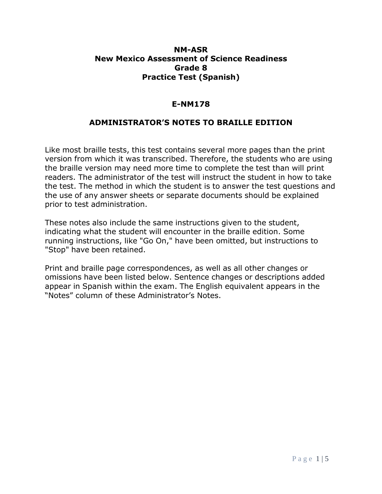## **NM-ASR New Mexico Assessment of Science Readiness Grade 8 Practice Test (Spanish)**

## **E-NM178**

## **ADMINISTRATOR'S NOTES TO BRAILLE EDITION**

Like most braille tests, this test contains several more pages than the print version from which it was transcribed. Therefore, the students who are using the braille version may need more time to complete the test than will print readers. The administrator of the test will instruct the student in how to take the test. The method in which the student is to answer the test questions and the use of any answer sheets or separate documents should be explained prior to test administration.

These notes also include the same instructions given to the student, indicating what the student will encounter in the braille edition. Some running instructions, like "Go On," have been omitted, but instructions to "Stop" have been retained.

Print and braille page correspondences, as well as all other changes or omissions have been listed below. Sentence changes or descriptions added appear in Spanish within the exam. The English equivalent appears in the "Notes" column of these Administrator's Notes.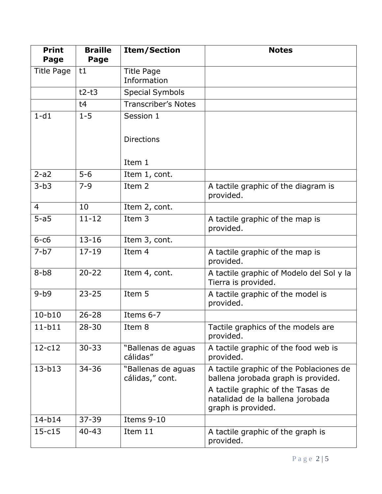| <b>Print</b><br>Page | <b>Braille</b><br>Page | <b>Item/Section</b>                   | <b>Notes</b>                                                                                |
|----------------------|------------------------|---------------------------------------|---------------------------------------------------------------------------------------------|
| <b>Title Page</b>    | t1                     | <b>Title Page</b><br>Information      |                                                                                             |
|                      | $t2-t3$                | <b>Special Symbols</b>                |                                                                                             |
|                      | t4                     | <b>Transcriber's Notes</b>            |                                                                                             |
| $1-d1$               | $1 - 5$                | Session 1                             |                                                                                             |
|                      |                        | <b>Directions</b>                     |                                                                                             |
|                      |                        | Item 1                                |                                                                                             |
| $2-a2$               | $5 - 6$                | Item 1, cont.                         |                                                                                             |
| $3-b3$               | $7 - 9$                | Item 2                                | A tactile graphic of the diagram is<br>provided.                                            |
| $\overline{4}$       | 10                     | Item 2, cont.                         |                                                                                             |
| $5-a5$               | $\overline{11-12}$     | Item 3                                | A tactile graphic of the map is<br>provided.                                                |
| $6-c6$               | $13 - 16$              | Item 3, cont.                         |                                                                                             |
| $7-b7$               | $17 - 19$              | Item 4                                | A tactile graphic of the map is<br>provided.                                                |
| $8-b8$               | $20 - 22$              | Item 4, cont.                         | A tactile graphic of Modelo del Sol y la<br>Tierra is provided.                             |
| $9 - b9$             | $23 - 25$              | Item 5                                | A tactile graphic of the model is<br>provided.                                              |
| $10-b10$             | $26 - 28$              | Items 6-7                             |                                                                                             |
| $11-b11$             | $28 - 30$              | Item 8                                | Tactile graphics of the models are<br>provided.                                             |
| $12-c12$             | $30 - 33$              | "Ballenas de aguas<br>cálidas"        | A tactile graphic of the food web is<br>provided.                                           |
| $13 - b13$           | $34 - 36$              | "Ballenas de aguas<br>cálidas," cont. | A tactile graphic of the Poblaciones de<br>ballena jorobada graph is provided.              |
|                      |                        |                                       | A tactile graphic of the Tasas de<br>natalidad de la ballena jorobada<br>graph is provided. |
| $14-b14$             | $37 - 39$              | Items 9-10                            |                                                                                             |
| $15 - c15$           | $40 - 43$              | Item 11                               | A tactile graphic of the graph is<br>provided.                                              |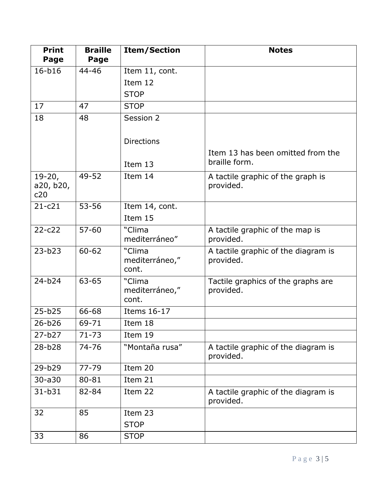| <b>Print</b><br>Page         | <b>Braille</b><br>Page | <b>Item/Section</b>               | <b>Notes</b>                                       |
|------------------------------|------------------------|-----------------------------------|----------------------------------------------------|
| 16-b16                       | 44-46                  | Item 11, cont.                    |                                                    |
|                              |                        | Item 12                           |                                                    |
|                              |                        | <b>STOP</b>                       |                                                    |
| 17                           | 47                     | <b>STOP</b>                       |                                                    |
| 18                           | 48                     | Session 2                         |                                                    |
|                              |                        | <b>Directions</b>                 |                                                    |
|                              |                        | Item 13                           | Item 13 has been omitted from the<br>braille form. |
| $19-20,$<br>a20, b20,<br>c20 | 49-52                  | Item 14                           | A tactile graphic of the graph is<br>provided.     |
| $21 - c21$                   | $53 - 56$              | Item 14, cont.                    |                                                    |
|                              |                        | Item 15                           |                                                    |
| $22 - c22$                   | $57 - 60$              | "Clima<br>mediterráneo"           | A tactile graphic of the map is<br>provided.       |
| $23 - b23$                   | $60 - 62$              | "Clima<br>mediterráneo,"<br>cont. | A tactile graphic of the diagram is<br>provided.   |
| $24-b24$                     | $63 - 65$              | "Clima<br>mediterráneo,"<br>cont. | Tactile graphics of the graphs are<br>provided.    |
| $25 - b25$                   | 66-68                  | Items 16-17                       |                                                    |
| $26 - b26$                   | 69-71                  | Item 18                           |                                                    |
| $27 - b27$                   | $71 - 73$              | Item 19                           |                                                    |
| $28 - b28$                   | 74-76                  | "Montaña rusa"                    | A tactile graphic of the diagram is<br>provided.   |
| 29-b29                       | $77 - 79$              | Item 20                           |                                                    |
| $30 - a30$                   | 80-81                  | Item 21                           |                                                    |
| $31 - b31$                   | 82-84                  | Item 22                           | A tactile graphic of the diagram is<br>provided.   |
| 32                           | 85                     | Item 23<br><b>STOP</b>            |                                                    |
| 33                           | 86                     | <b>STOP</b>                       |                                                    |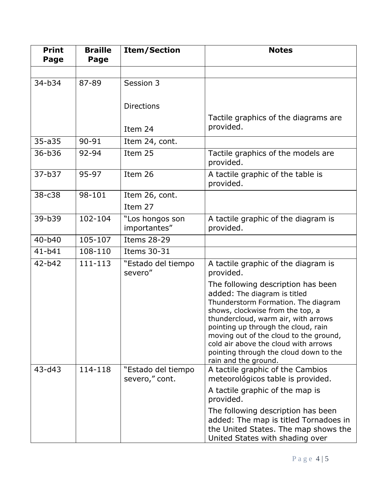| <b>Print</b><br>Page | <b>Braille</b><br>Page | <b>Item/Section</b>                  | <b>Notes</b>                                                                                                                                                                                                                                                                                                                                                                    |
|----------------------|------------------------|--------------------------------------|---------------------------------------------------------------------------------------------------------------------------------------------------------------------------------------------------------------------------------------------------------------------------------------------------------------------------------------------------------------------------------|
|                      |                        |                                      |                                                                                                                                                                                                                                                                                                                                                                                 |
| $34 - b34$           | 87-89                  | Session 3                            |                                                                                                                                                                                                                                                                                                                                                                                 |
|                      |                        | <b>Directions</b>                    |                                                                                                                                                                                                                                                                                                                                                                                 |
|                      |                        | Item 24                              | Tactile graphics of the diagrams are<br>provided.                                                                                                                                                                                                                                                                                                                               |
| $35 - a35$           | 90-91                  | Item 24, cont.                       |                                                                                                                                                                                                                                                                                                                                                                                 |
| 36-b36               | 92-94                  | Item 25                              | Tactile graphics of the models are<br>provided.                                                                                                                                                                                                                                                                                                                                 |
| $37 - b37$           | 95-97                  | Item 26                              | A tactile graphic of the table is<br>provided.                                                                                                                                                                                                                                                                                                                                  |
| $38 - c38$           | 98-101                 | Item 26, cont.<br>Item 27            |                                                                                                                                                                                                                                                                                                                                                                                 |
| 39-b39               | 102-104                | "Los hongos son<br>importantes"      | A tactile graphic of the diagram is<br>provided.                                                                                                                                                                                                                                                                                                                                |
| $40 - b40$           | 105-107                | <b>Items 28-29</b>                   |                                                                                                                                                                                                                                                                                                                                                                                 |
| $41 - b41$           | 108-110                | Items 30-31                          |                                                                                                                                                                                                                                                                                                                                                                                 |
| $42-b42$             | 111-113                | "Estado del tiempo<br>severo"        | A tactile graphic of the diagram is<br>provided.                                                                                                                                                                                                                                                                                                                                |
|                      |                        |                                      | The following description has been<br>added: The diagram is titled<br>Thunderstorm Formation. The diagram<br>shows, clockwise from the top, a<br>thundercloud, warm air, with arrows<br>pointing up through the cloud, rain<br>moving out of the cloud to the ground,<br>cold air above the cloud with arrows<br>pointing through the cloud down to the<br>rain and the ground. |
| $43 - d43$           | 114-118                | "Estado del tiempo<br>severo," cont. | A tactile graphic of the Cambios<br>meteorológicos table is provided.<br>A tactile graphic of the map is<br>provided.                                                                                                                                                                                                                                                           |
|                      |                        |                                      | The following description has been<br>added: The map is titled Tornadoes in<br>the United States. The map shows the<br>United States with shading over                                                                                                                                                                                                                          |